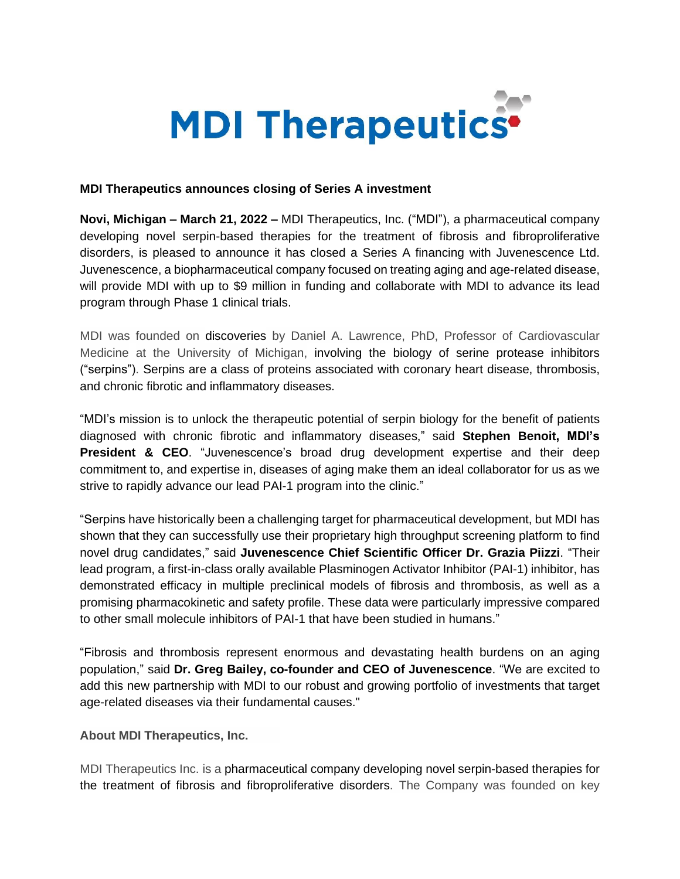

## **MDI Therapeutics announces closing of Series A investment**

**Novi, Michigan – March 21, 2022 –** MDI Therapeutics, Inc. ("MDI"), a pharmaceutical company developing novel serpin-based therapies for the treatment of fibrosis and fibroproliferative disorders, is pleased to announce it has closed a Series A financing with Juvenescence Ltd. Juvenescence, a biopharmaceutical company focused on treating aging and age-related disease, will provide MDI with up to \$9 million in funding and collaborate with MDI to advance its lead program through Phase 1 clinical trials.

MDI was founded on discoveries by Daniel A. Lawrence, PhD, Professor of Cardiovascular Medicine at the University of Michigan, involving the biology of serine protease inhibitors ("serpins"). Serpins are a class of proteins associated with coronary heart disease, thrombosis, and chronic fibrotic and inflammatory diseases.

"MDI's mission is to unlock the therapeutic potential of serpin biology for the benefit of patients diagnosed with chronic fibrotic and inflammatory diseases," said **Stephen Benoit, MDI's President & CEO**. "Juvenescence's broad drug development expertise and their deep commitment to, and expertise in, diseases of aging make them an ideal collaborator for us as we strive to rapidly advance our lead PAI-1 program into the clinic."

"Serpins have historically been a challenging target for pharmaceutical development, but MDI has shown that they can successfully use their proprietary high throughput screening platform to find novel drug candidates," said **Juvenescence Chief Scientific Officer Dr. Grazia Piizzi**. "Their lead program, a first-in-class orally available Plasminogen Activator Inhibitor (PAI-1) inhibitor, has demonstrated efficacy in multiple preclinical models of fibrosis and thrombosis, as well as a promising pharmacokinetic and safety profile. These data were particularly impressive compared to other small molecule inhibitors of PAI-1 that have been studied in humans."

"Fibrosis and thrombosis represent enormous and devastating health burdens on an aging population," said **Dr. Greg Bailey, co-founder and CEO of Juvenescence**. "We are excited to add this new partnership with MDI to our robust and growing portfolio of investments that target age-related diseases via their fundamental causes."

**About MDI Therapeutics, Inc.**

MDI Therapeutics Inc. is a pharmaceutical company developing novel serpin-based therapies for the treatment of fibrosis and fibroproliferative disorders. The Company was founded on key